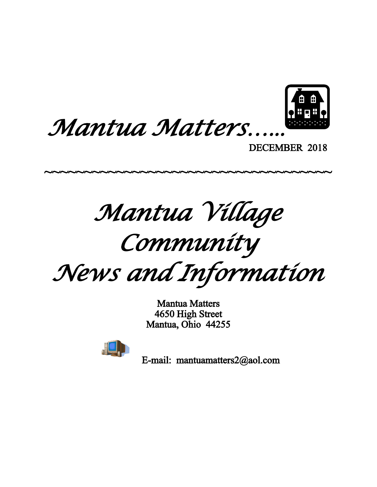



DECEMBER 2018

*Mantua Village*

~~~~~~~~~~~~~~~~~~~~~~~~~~~~~~~~~~~~~~

*Community*

*News and Information*

Mantua Matters 4650 High Street Mantua, Ohio 44255



E-mail: mantuamatters2@aol.com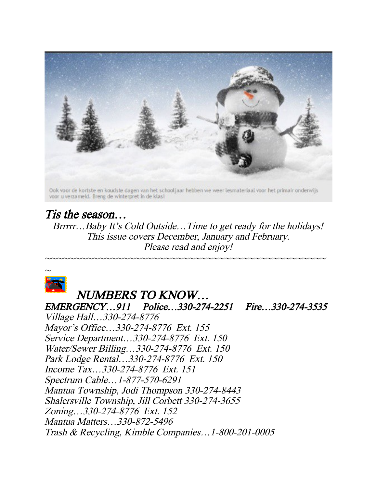

## Tis the season…

Brrrrr...Baby It's Cold Outside...Time to get ready for the holidays! This issue covers December, January and February. Please read and enjoy!

~~~~~~~~~~~~~~~~~~~~~~~~~~~~~~~~~~~~~~~~~~~~~~~



# NUMBERS TO KNOW…

EMERGENCY…911 Police…330-274-2251 Fire…330-274-3535

Village Hall…330-274-8776 Mayor's Office…330-274-8776 Ext. 155 Service Department…330-274-8776 Ext. 150 Water/Sewer Billing…330-274-8776 Ext. 150 Park Lodge Rental…330-274-8776 Ext. 150 Income Tax…330-274-8776 Ext. 151 Spectrum Cable…1-877-570-6291 Mantua Township, Jodi Thompson 330-274-8443 Shalersville Township, Jill Corbett 330-274-3655 Zoning…330-274-8776 Ext. 152 Mantua Matters…330-872-5496 Trash & Recycling, Kimble Companies…1-800-201-0005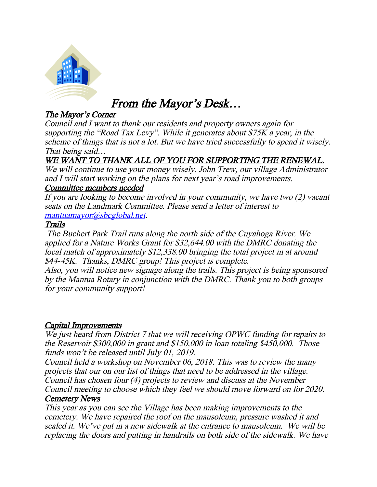

# From the Mayor's Desk…

## The Mayor's Corner

Council and I want to thank our residents and property owners again for supporting the "Road Tax Levy". While it generates about \$75K a year, in the scheme of things that is not a lot. But we have tried successfully to spend it wisely. That being said…

## WE WANT TO THANK ALL OF YOU FOR SUPPORTING THE RENEWAL.

We will continue to use your money wisely. John Trew, our village Administrator and I will start working on the plans for next year's road improvements.

### Committee members needed

If you are looking to become involved in your community, we have two (2) vacant seats on the Landmark Committee. Please send a letter of interest to [mantuamayor@sbcglobal.net](mailto:mantuamayor@sbcglobal.net).

#### Trails

 The Buchert Park Trail runs along the north side of the Cuyahoga River. We applied for a Nature Works Grant for \$32,644.00 with the DMRC donating the local match of approximately \$12,338.00 bringing the total project in at around \$44-45K. Thanks, DMRC group! This project is complete.

Also, you will notice new signage along the trails. This project is being sponsored by the Mantua Rotary in conjunction with the DMRC. Thank you to both groups for your community support!

### Capital Improvements

We just heard from District 7 that we will receiving OPWC funding for repairs to the Reservoir \$300,000 in grant and \$150,000 in loan totaling \$450,000. Those funds won't be released until July 01, 2019.

Council held a workshop on November 06, 2018. This was to review the many projects that our on our list of things that need to be addressed in the village. Council has chosen four (4) projects to review and discuss at the November Council meeting to choose which they feel we should move forward on for 2020. Cemetery News

#### This year as you can see the Village has been making improvements to the cemetery. We have repaired the roof on the mausoleum, pressure washed it and sealed it. We've put in a new sidewalk at the entrance to mausoleum. We will be replacing the doors and putting in handrails on both side of the sidewalk. We have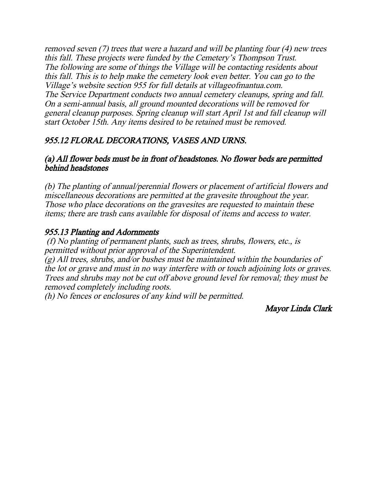removed seven (7) trees that were a hazard and will be planting four (4) new trees this fall. These projects were funded by the Cemetery's Thompson Trust. The following are some of things the Village will be contacting residents about this fall. This is to help make the cemetery look even better. You can go to the Village's website section 955 for full details at villageofmantua.com. The Service Department conducts two annual cemetery cleanups, spring and fall. On a semi-annual basis, all ground mounted decorations will be removed for general cleanup purposes. Spring cleanup will start April 1st and fall cleanup will start October 15th. Any items desired to be retained must be removed.

## 955.12 FLORAL DECORATIONS, VASES AND URNS.

#### (a) All flower beds must be in front of headstones. No flower beds are permitted behind headstones

(b) The planting of annual/perennial flowers or placement of artificial flowers and miscellaneous decorations are permitted at the gravesite throughout the year. Those who place decorations on the gravesites are requested to maintain these items; there are trash cans available for disposal of items and access to water.

### 955.13 Planting and Adornments

 (f) No planting of permanent plants, such as trees, shrubs, flowers, etc., is permitted without prior approval of the Superintendent.

(g) All trees, shrubs, and/or bushes must be maintained within the boundaries of the lot or grave and must in no way interfere with or touch adjoining lots or graves. Trees and shrubs may not be cut off above ground level for removal; they must be removed completely including roots.

(h) No fences or enclosures of any kind will be permitted.

#### Mayor Linda Clark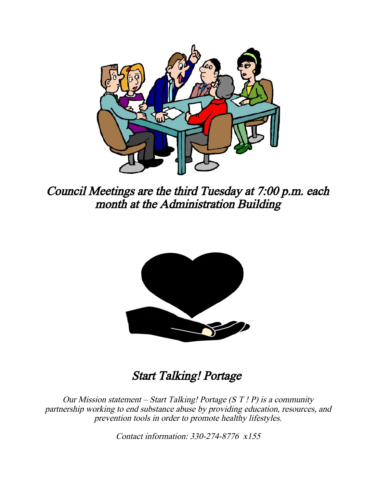

Council Meetings are the third Tuesday at 7:00 p.m. each month at the Administration Building



# Start Talking! Portage

Our Mission statement – Start Talking! Portage  $(S T ! P)$  is a community partnership working to end substance abuse by providing education, resources, and prevention tools in order to promote healthy lifestyles.

Contact information: 330-274-8776 x155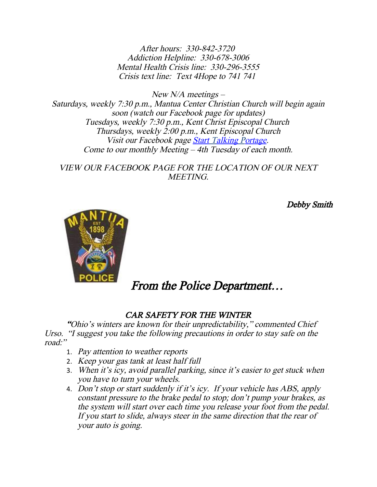After hours: 330-842-3720 Addiction Helpline: 330-678-3006 Mental Health Crisis line: 330-296-3555 Crisis text line: Text 4Hope to 741 741

 $New N/A$  meetings – Saturdays, weekly 7:30 p.m., Mantua Center Christian Church will begin again soon (watch our Facebook page for updates) Tuesdays, weekly 7:30 p.m., Kent Christ Episcopal Church Thursdays, weekly 2:00 p.m., Kent Episcopal Church Visit our Facebook page Start Talking Portage. Come to our monthly Meeting – 4th Tuesday of each month.

VIEW OUR FACEBOOK PAGE FOR THE LOCATION OF OUR NEXT **MEETING** 

Debby Smith



# From the Police Department…

## CAR SAFETY FOR THE WINTER

"Ohio's winters are known for their unpredictability," commented Chief Urso. "I suggest you take the following precautions in order to stay safe on the road:"

- 1. Pay attention to weather reports
- 2. Keep your gas tank at least half full
- 3. When it's icy, avoid parallel parking, since it's easier to get stuck when you have to turn your wheels.
- 4. Don't stop or start suddenly if it's icy. If your vehicle has ABS, apply constant pressure to the brake pedal to stop; don't pump your brakes, as the system will start over each time you release your foot from the pedal. If you start to slide, always steer in the same direction that the rear of your auto is going.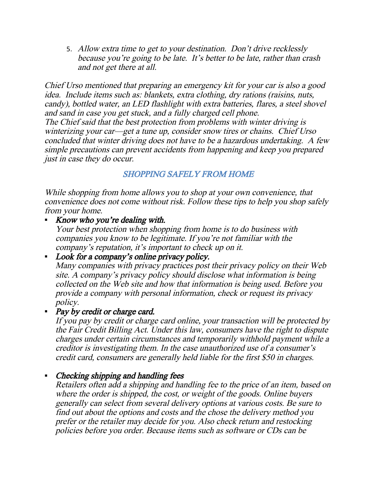5. Allow extra time to get to your destination. Don't drive recklessly because you're going to be late. It's better to be late, rather than crash and not get there at all.

Chief Urso mentioned that preparing an emergency kit for your car is also a good idea. Include items such as: blankets, extra clothing, dry rations (raisins, nuts, candy), bottled water, an LED flashlight with extra batteries, flares, a steel shovel and sand in case you get stuck, and a fully charged cell phone. The Chief said that the best protection from problems with winter driving is winterizing your car—get a tune up, consider snow tires or chains. Chief Urso concluded that winter driving does not have to be a hazardous undertaking. A few simple precautions can prevent accidents from happening and keep you prepared just in case they do occur.

## SHOPPING SAFELY FROM HOME

While shopping from home allows you to shop at your own convenience, that convenience does not come without risk. Follow these tips to help you shop safely from your home.

#### Know who you're dealing with.

Your best protection when shopping from home is to do business with companies you know to be legitimate. If you're not familiar with the company's reputation, it's important to check up on it.

## Look for a company's online privacy policy.

Many companies with privacy practices post their privacy policy on their Web site. A company's privacy policy should disclose what information is being collected on the Web site and how that information is being used. Before you provide a company with personal information, check or request its privacy policy.

#### • Pay by credit or charge card.

If you pay by credit or charge card online, your transaction will be protected by the Fair Credit Billing Act. Under this law, consumers have the right to dispute charges under certain circumstances and temporarily withhold payment while a creditor is investigating them. In the case unauthorized use of a consumer's credit card, consumers are generally held liable for the first \$50 in charges.

#### • Checking shipping and handling fees

Retailers often add a shipping and handling fee to the price of an item, based on where the order is shipped, the cost, or weight of the goods. Online buyers generally can select from several delivery options at various costs. Be sure to find out about the options and costs and the chose the delivery method you prefer or the retailer may decide for you. Also check return and restocking policies before you order. Because items such as software or CDs can be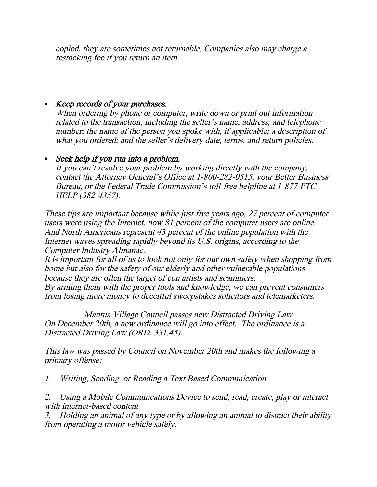copied, they are sometimes not returnable. Companies also may charge a restocking fee if you return an item

## Keep records of your purchases.

When ordering by phone or computer, write down or print out information related to the transaction, including the seller's name, address, and telephone number; the name of the person you spoke with, if applicable; a description of what you ordered; and the seller's delivery date, terms, and return policies.

## Seek help if you run into a problem.

If you can't resolve your problem by working directly with the company, contact the Attorney General's Office at 1-800-282-0515, your Better Business Bureau, or the Federal Trade Commission's toll-free helpline at 1-877-FTC-HELP (382-4357).

These tips are important because while just five years ago, 27 percent of computer users were using the Internet, now 81 percent of the computer users are online. And North Americans represent 43 percent of the online population with the Internet waves spreading rapidly beyond its U.S. origins, according to the Computer Industry Almanac.

It is important for all of us to look not only for our own safety when shopping from home but also for the safety of our elderly and other vulnerable populations because they are often the target of con artists and scammers.

By arming them with the proper tools and knowledge, we can prevent consumers from losing more money to deceitful sweepstakes solicitors and telemarketers.

Mantua Village Council passes new Distracted Driving Law On December 20th, a new ordinance will go into effect. The ordinance is a Distracted Driving Law (ORD. 331.45)

This law was passed by Council on November 20th and makes the following a primary offense:

1. Writing, Sending, or Reading a Text Based Communication.

2. Using a Mobile Communications Device to send, read, create, play or interact with internet-based content

3. Holding an animal of any type or by allowing an animal to distract their ability from operating a motor vehicle safely.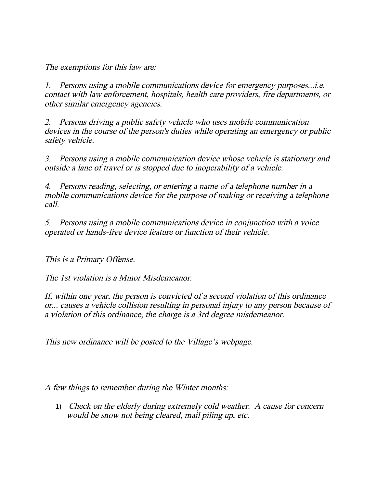The exemptions for this law are:

1. Persons using a mobile communications device for emergency purposes...i.e. contact with law enforcement, hospitals, health care providers, fire departments, or other similar emergency agencies.

2. Persons driving a public safety vehicle who uses mobile communication devices in the course of the person's duties while operating an emergency or public safety vehicle.

3. Persons using a mobile communication device whose vehicle is stationary and outside a lane of travel or is stopped due to inoperability of a vehicle.

4. Persons reading, selecting, or entering a name of a telephone number in a mobile communications device for the purpose of making or receiving a telephone call.

5. Persons using a mobile communications device in conjunction with a voice operated or hands-free device feature or function of their vehicle.

This is a Primary Offense.

The 1st violation is a Minor Misdemeanor.

If, within one year, the person is convicted of a second violation of this ordinance or... causes a vehicle collision resulting in personal injury to any person because of a violation of this ordinance, the charge is a 3rd degree misdemeanor.

This new ordinance will be posted to the Village's webpage.

A few things to remember during the Winter months:

1) Check on the elderly during extremely cold weather. A cause for concern would be snow not being cleared, mail piling up, etc.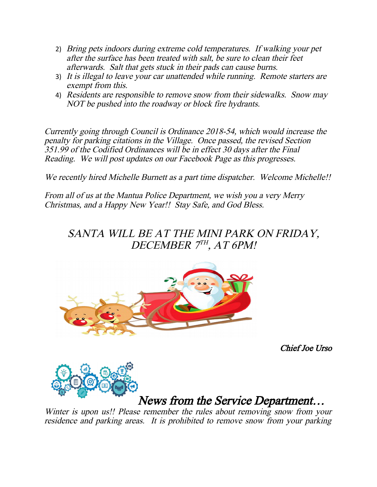- 2) Bring pets indoors during extreme cold temperatures. If walking your pet after the surface has been treated with salt, be sure to clean their feet afterwards. Salt that gets stuck in their pads can cause burns.
- 3) It is illegal to leave your car unattended while running. Remote starters are exempt from this.
- 4) Residents are responsible to remove snow from their sidewalks. Snow may NOT be pushed into the roadway or block fire hydrants.

Currently going through Council is Ordinance 2018-54, which would increase the penalty for parking citations in the Village. Once passed, the revised Section 351.99 of the Codified Ordinances will be in effect 30 days after the Final Reading. We will post updates on our Facebook Page as this progresses.

We recently hired Michelle Burnett as a part time dispatcher. Welcome Michelle!!

From all of us at the Mantua Police Department, we wish you a very Merry Christmas, and a Happy New Year!! Stay Safe, and God Bless.

SANTA WILL BE AT THE MINI PARK ON FRIDAY, DECEMBER 7TH, AT 6PM!



Chief Joe Urso



## News from the Service Department…

Winter is upon us!! Please remember the rules about removing snow from your residence and parking areas. It is prohibited to remove snow from your parking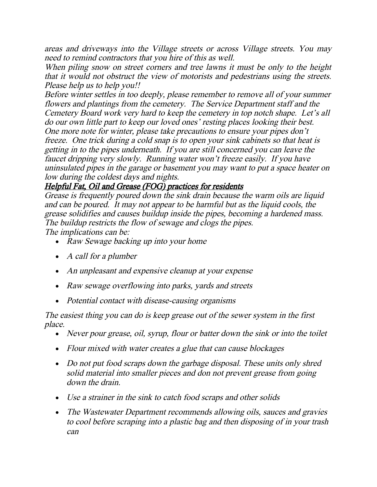areas and driveways into the Village streets or across Village streets. You may need to remind contractors that you hire of this as well.

When piling snow on street corners and tree lawns it must be only to the height that it would not obstruct the view of motorists and pedestrians using the streets. Please help us to help you!!

Before winter settles in too deeply, please remember to remove all of your summer flowers and plantings from the cemetery. The Service Department staff and the Cemetery Board work very hard to keep the cemetery in top notch shape. Let's all do our own little part to keep our loved ones' resting places looking their best. One more note for winter, please take precautions to ensure your pipes don't freeze. One trick during a cold snap is to open your sink cabinets so that heat is getting in to the pipes underneath. If you are still concerned you can leave the faucet dripping very slowly. Running water won't freeze easily. If you have uninsulated pipes in the garage or basement you may want to put a space heater on low during the coldest days and nights.

### Helpful Fat, Oil and Grease (FOG) practices for residents

Grease is frequently poured down the sink drain because the warm oils are liquid and can be poured. It may not appear to be harmful but as the liquid cools, the grease solidifies and causes buildup inside the pipes, becoming a hardened mass. The buildup restricts the flow of sewage and clogs the pipes. The implications can be:

- Raw Sewage backing up into your home
- A call for a plumber
- An unpleasant and expensive cleanup at your expense
- Raw sewage overflowing into parks, yards and streets
- Potential contact with disease-causing organisms

#### The easiest thing you can do is keep grease out of the sewer system in the first place.

- Never pour grease, oil, syrup, flour or batter down the sink or into the toilet
- Flour mixed with water creates a glue that can cause blockages
- Do not put food scraps down the garbage disposal. These units only shred solid material into smaller pieces and don not prevent grease from going down the drain.
- Use a strainer in the sink to catch food scraps and other solids
- The Wastewater Department recommends allowing oils, sauces and gravies to cool before scraping into a plastic bag and then disposing of in your trash can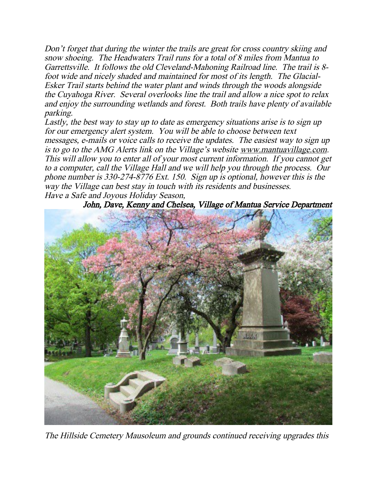Don't forget that during the winter the trails are great for cross country skiing and snow shoeing. The Headwaters Trail runs for a total of 8 miles from Mantua to Garrettsville. It follows the old Cleveland-Mahoning Railroad line. The trail is 8 foot wide and nicely shaded and maintained for most of its length. The Glacial-Esker Trail starts behind the water plant and winds through the woods alongside the Cuyahoga River. Several overlooks line the trail and allow a nice spot to relax and enjoy the surrounding wetlands and forest. Both trails have plenty of available parking.

Lastly, the best way to stay up to date as emergency situations arise is to sign up for our emergency alert system. You will be able to choose between text messages, e-mails or voice calls to receive the updates. The easiest way to sign up is to go to the AMG Alerts link on the Village's website www.mantuavillage.com. This will allow you to enter all of your most current information. If you cannot get to a computer, call the Village Hall and we will help you through the process. Our phone number is 330-274-8776 Ext. 150. Sign up is optional, however this is the way the Village can best stay in touch with its residents and businesses. Have a Safe and Joyous Holiday Season,

John, Dave, Kenny and Chelsea, Village of Mantua Service Department



The Hillside Cemetery Mausoleum and grounds continued receiving upgrades this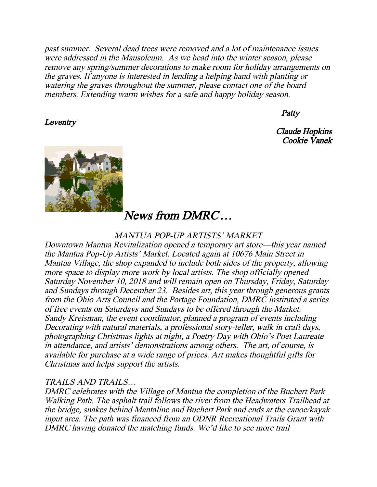past summer. Several dead trees were removed and a lot of maintenance issues were addressed in the Mausoleum. As we head into the winter season, please remove any spring/summer decorations to make room for holiday arrangements on the graves. If anyone is interested in lending a helping hand with planting or watering the graves throughout the summer, please contact one of the board members. Extending warm wishes for a safe and happy holiday season.

#### **Patty**

Claude Hopkins Cookie Vanek



**Leventry** 

## News from DMRC…

#### MANTUA POP-UP ARTISTS' MARKET

Downtown Mantua Revitalization opened a temporary art store—this year named the Mantua Pop-Up Artists' Market. Located again at 10676 Main Street in Mantua Village, the shop expanded to include both sides of the property, allowing more space to display more work by local artists. The shop officially opened Saturday November 10, 2018 and will remain open on Thursday, Friday, Saturday and Sundays through December 23. Besides art, this year through generous grants from the Ohio Arts Council and the Portage Foundation, DMRC instituted a series of free events on Saturdays and Sundays to be offered through the Market. Sandy Kreisman, the event coordinator, planned a program of events including Decorating with natural materials, a professional story-teller, walk in craft days, photographing Christmas lights at night, a Poetry Day with Ohio's Poet Laureate in attendance, and artists' demonstrations among others. The art, of course, is available for purchase at a wide range of prices. Art makes thoughtful gifts for Christmas and helps support the artists.

#### TRAILS AND TRAILS…

DMRC celebrates with the Village of Mantua the completion of the Buchert Park Walking Path. The asphalt trail follows the river from the Headwaters Trailhead at the bridge, snakes behind Mantaline and Buchert Park and ends at the canoe/kayak input area. The path was financed from an ODNR Recreational Trails Grant with DMRC having donated the matching funds. We'd like to see more trail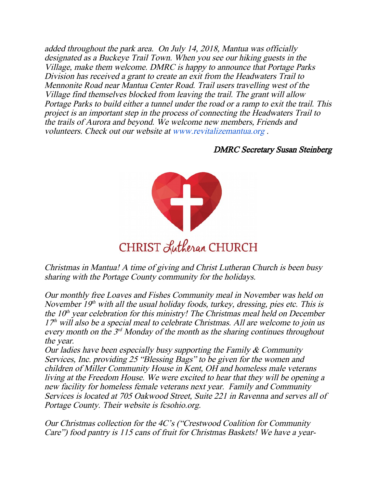added throughout the park area. On July 14, 2018, Mantua was officially designated as a Buckeye Trail Town. When you see our hiking guests in the Village, make them welcome. DMRC is happy to announce that Portage Parks Division has received a grant to create an exit from the Headwaters Trail to Mennonite Road near Mantua Center Road. Trail users travelling west of the Village find themselves blocked from leaving the trail. The grant will allow Portage Parks to build either a tunnel under the road or a ramp to exit the trail. This project is an important step in the process of connecting the Headwaters Trail to the trails of Aurora and beyond. We welcome new members, Friends and volunteers. Check out our website at www.revitalizemantua.org .

#### DMRC Secretary Susan Steinberg



Christmas in Mantua! A time of giving and Christ Lutheran Church is been busy sharing with the Portage County community for the holidays.

Our monthly free Loaves and Fishes Community meal in November was held on November  $19<sup>th</sup>$  with all the usual holiday foods, turkey, dressing, pies etc. This is the  $10<sup>th</sup>$  year celebration for this ministry! The Christmas meal held on December  $17<sup>th</sup>$  will also be a special meal to celebrate Christmas. All are welcome to join us every month on the  $3<sup>rd</sup>$  Monday of the month as the sharing continues throughout the year.

Our ladies have been especially busy supporting the Family  $\&$  Community Services, Inc. providing 25 "Blessing Bags" to be given for the women and children of Miller Community House in Kent, OH and homeless male veterans living at the Freedom House. We were excited to hear that they will be opening a new facility for homeless female veterans next year. Family and Community Services is located at 705 Oakwood Street, Suite 221 in Ravenna and serves all of Portage County. Their website is fcsohio.org.

Our Christmas collection for the 4C's ("Crestwood Coalition for Community Care") food pantry is 115 cans of fruit for Christmas Baskets! We have a year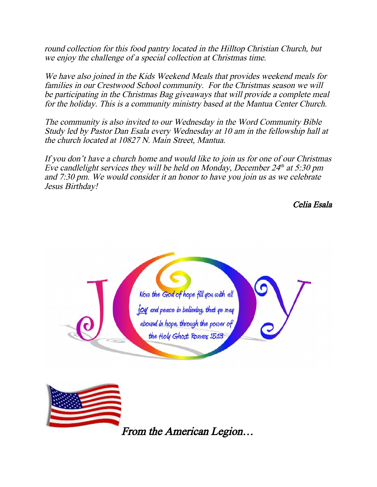round collection for this food pantry located in the Hilltop Christian Church, but we enjoy the challenge of a special collection at Christmas time.

We have also joined in the Kids Weekend Meals that provides weekend meals for families in our Crestwood School community. For the Christmas season we will be participating in the Christmas Bag giveaways that will provide a complete meal for the holiday. This is a community ministry based at the Mantua Center Church.

The community is also invited to our Wednesday in the Word Community Bible Study led by Pastor Dan Esala every Wednesday at 10 am in the fellowship hall at the church located at 10827 N. Main Street, Mantua.

If you don't have a church home and would like to join us for one of our Christmas Eve candlelight services they will be held on Monday, December  $24<sup>th</sup>$  at 5:30 pm and 7:30 pm. We would consider it an honor to have you join us as we celebrate Jesus Birthday!

Celia Esala



From the American Legion…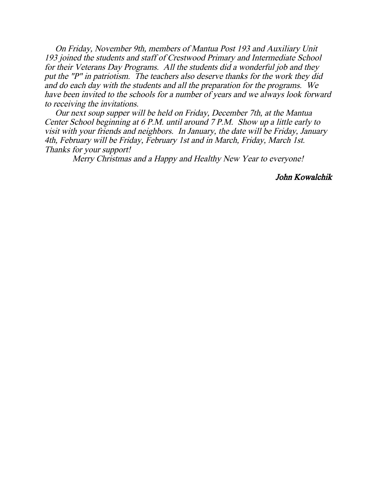On Friday, November 9th, members of Mantua Post 193 and Auxiliary Unit 193 joined the students and staff of Crestwood Primary and Intermediate School for their Veterans Day Programs. All the students did a wonderful job and they put the "P" in patriotism. The teachers also deserve thanks for the work they did and do each day with the students and all the preparation for the programs. We have been invited to the schools for a number of years and we always look forward to receiving the invitations.

 Our next soup supper will be held on Friday, December 7th, at the Mantua Center School beginning at 6 P.M. until around 7 P.M. Show up a little early to visit with your friends and neighbors. In January, the date will be Friday, January 4th, February will be Friday, February 1st and in March, Friday, March 1st. Thanks for your support!

Merry Christmas and a Happy and Healthy New Year to everyone!

John Kowalchik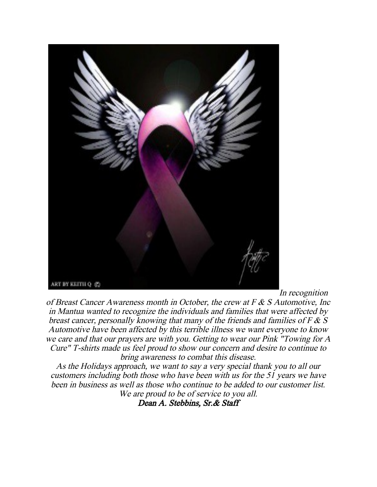

In recognition

of Breast Cancer Awareness month in October, the crew at F & S Automotive, Inc in Mantua wanted to recognize the individuals and families that were affected by breast cancer, personally knowing that many of the friends and families of  $F \& S$ Automotive have been affected by this terrible illness we want everyone to know we care and that our prayers are with you. Getting to wear our Pink "Towing for A Cure" T-shirts made us feel proud to show our concern and desire to continue to bring awareness to combat this disease.

As the Holidays approach, we want to say a very special thank you to all our customers including both those who have been with us for the 51 years we have been in business as well as those who continue to be added to our customer list. We are proud to be of service to you all.

Dean A. Stebbins, Sr.& Staff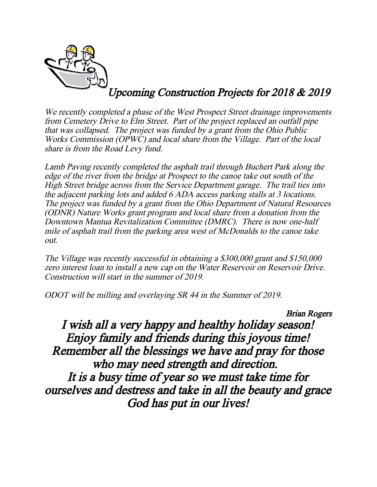

# Upcoming Construction Projects for 2018 & 2019

We recently completed a phase of the West Prospect Street drainage improvements from Cemetery Drive to Elm Street. Part of the project replaced an outfall pipe that was collapsed. The project was funded by a grant from the Ohio Public Works Commission (OPWC) and local share from the Village. Part of the local share is from the Road Levy fund.

Lamb Paving recently completed the asphalt trail through Buchert Park along the edge of the river from the bridge at Prospect to the canoe take out south of the High Street bridge across from the Service Department garage. The trail ties into the adjacent parking lots and added 6 ADA access parking stalls at 3 locations. The project was funded by a grant from the Ohio Department of Natural Resources (ODNR) Nature Works grant program and local share from a donation from the Downtown Mantua Revitalization Committee (DMRC). There is now one-half mile of asphalt trail from the parking area west of McDonalds to the canoe take out.

The Village was recently successful in obtaining a \$300,000 grant and \$150,000 zero interest loan to install a new cap on the Water Reservoir on Reservoir Drive. Construction will start in the summer of 2019.

ODOT will be milling and overlaying SR 44 in the Summer of 2019.

Brian Rogers

I wish all a very happy and healthy holiday season! Enjoy family and friends during this joyous time! Remember all the blessings we have and pray for those who may need strength and direction. It is a busy time of year so we must take time for ourselves and destress and take in all the beauty and grace God has put in our lives!